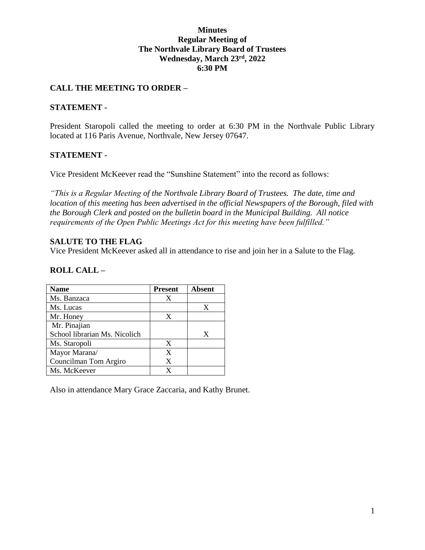### **Minutes Regular Meeting of The Northvale Library Board of Trustees Wednesday, March 23rd, 2022 6:30 PM**

## **CALL THE MEETING TO ORDER –**

#### **STATEMENT -**

President Staropoli called the meeting to order at 6:30 PM in the Northvale Public Library located at 116 Paris Avenue, Northvale, New Jersey 07647.

#### **STATEMENT -**

Vice President McKeever read the "Sunshine Statement" into the record as follows:

*"This is a Regular Meeting of the Northvale Library Board of Trustees. The date, time and location of this meeting has been advertised in the official Newspapers of the Borough, filed with the Borough Clerk and posted on the bulletin board in the Municipal Building. All notice requirements of the Open Public Meetings Act for this meeting have been fulfilled."* 

### **SALUTE TO THE FLAG**

Vice President McKeever asked all in attendance to rise and join her in a Salute to the Flag.

### **ROLL CALL –**

| <b>Name</b>                   | <b>Present</b> | <b>Absent</b> |
|-------------------------------|----------------|---------------|
| Ms. Banzaca                   | X              |               |
| Ms. Lucas                     |                | X             |
| Mr. Honey                     | X              |               |
| Mr. Pinajian                  |                |               |
| School librarian Ms. Nicolich |                | X             |
| Ms. Staropoli                 | X              |               |
| Mayor Marana/                 | X              |               |
| Councilman Tom Argiro         | X              |               |
| Ms. McKeever                  |                |               |

Also in attendance Mary Grace Zaccaria, and Kathy Brunet.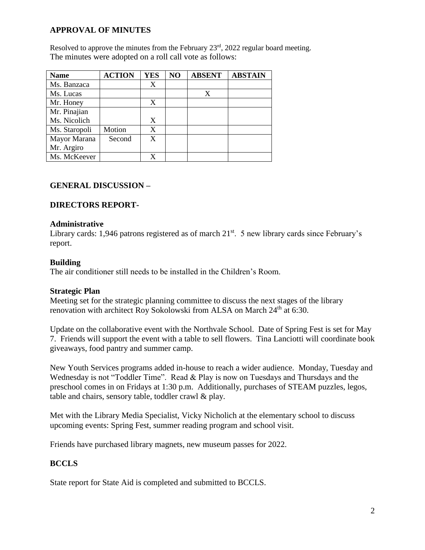# **APPROVAL OF MINUTES**

Resolved to approve the minutes from the February  $23<sup>rd</sup>$ ,  $2022$  regular board meeting. The minutes were adopted on a roll call vote as follows:

| <b>Name</b>   | <b>ACTION</b> | <b>YES</b> | NO | <b>ABSENT</b> | <b>ABSTAIN</b> |
|---------------|---------------|------------|----|---------------|----------------|
| Ms. Banzaca   |               | X          |    |               |                |
| Ms. Lucas     |               |            |    | X             |                |
| Mr. Honey     |               | X          |    |               |                |
| Mr. Pinajian  |               |            |    |               |                |
| Ms. Nicolich  |               | X          |    |               |                |
| Ms. Staropoli | Motion        | X          |    |               |                |
| Mayor Marana  | Second        | X          |    |               |                |
| Mr. Argiro    |               |            |    |               |                |
| Ms. McKeever  |               |            |    |               |                |

## **GENERAL DISCUSSION –**

### **DIRECTORS REPORT-**

#### **Administrative**

Library cards: 1,946 patrons registered as of march  $21<sup>st</sup>$ . 5 new library cards since February's report.

#### **Building**

The air conditioner still needs to be installed in the Children's Room.

#### **Strategic Plan**

Meeting set for the strategic planning committee to discuss the next stages of the library renovation with architect Roy Sokolowski from ALSA on March 24<sup>th</sup> at 6:30.

Update on the collaborative event with the Northvale School. Date of Spring Fest is set for May 7. Friends will support the event with a table to sell flowers. Tina Lanciotti will coordinate book giveaways, food pantry and summer camp.

New Youth Services programs added in-house to reach a wider audience. Monday, Tuesday and Wednesday is not "Toddler Time". Read & Play is now on Tuesdays and Thursdays and the preschool comes in on Fridays at 1:30 p.m. Additionally, purchases of STEAM puzzles, legos, table and chairs, sensory table, toddler crawl & play.

Met with the Library Media Specialist, Vicky Nicholich at the elementary school to discuss upcoming events: Spring Fest, summer reading program and school visit.

Friends have purchased library magnets, new museum passes for 2022.

### **BCCLS**

State report for State Aid is completed and submitted to BCCLS.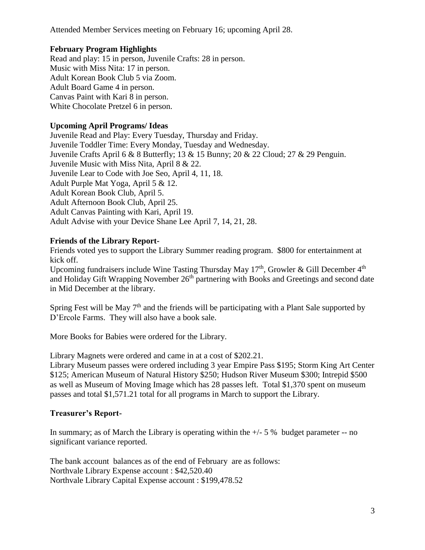Attended Member Services meeting on February 16; upcoming April 28.

# **February Program Highlights**

Read and play: 15 in person, Juvenile Crafts: 28 in person. Music with Miss Nita: 17 in person. Adult Korean Book Club 5 via Zoom. Adult Board Game 4 in person. Canvas Paint with Kari 8 in person. White Chocolate Pretzel 6 in person.

# **Upcoming April Programs/ Ideas**

Juvenile Read and Play: Every Tuesday, Thursday and Friday. Juvenile Toddler Time: Every Monday, Tuesday and Wednesday. Juvenile Crafts April 6 & 8 Butterfly; 13 & 15 Bunny; 20 & 22 Cloud; 27 & 29 Penguin. Juvenile Music with Miss Nita, April 8 & 22. Juvenile Lear to Code with Joe Seo, April 4, 11, 18. Adult Purple Mat Yoga, April 5 & 12. Adult Korean Book Club, April 5. Adult Afternoon Book Club, April 25. Adult Canvas Painting with Kari, April 19. Adult Advise with your Device Shane Lee April 7, 14, 21, 28.

# **Friends of the Library Report-**

Friends voted yes to support the Library Summer reading program. \$800 for entertainment at kick off.

Upcoming fundraisers include Wine Tasting Thursday May  $17<sup>th</sup>$ , Growler & Gill December  $4<sup>th</sup>$ and Holiday Gift Wrapping November 26<sup>th</sup> partnering with Books and Greetings and second date in Mid December at the library.

Spring Fest will be May  $7<sup>th</sup>$  and the friends will be participating with a Plant Sale supported by D'Ercole Farms. They will also have a book sale.

More Books for Babies were ordered for the Library.

Library Magnets were ordered and came in at a cost of \$202.21.

Library Museum passes were ordered including 3 year Empire Pass \$195; Storm King Art Center \$125; American Museum of Natural History \$250; Hudson River Museum \$300; Intrepid \$500 as well as Museum of Moving Image which has 28 passes left. Total \$1,370 spent on museum passes and total \$1,571.21 total for all programs in March to support the Library.

# **Treasurer's Report-**

In summary; as of March the Library is operating within the  $+/- 5 \%$  budget parameter -- no significant variance reported.

The bank account balances as of the end of February are as follows: Northvale Library Expense account : \$42,520.40 Northvale Library Capital Expense account : \$199,478.52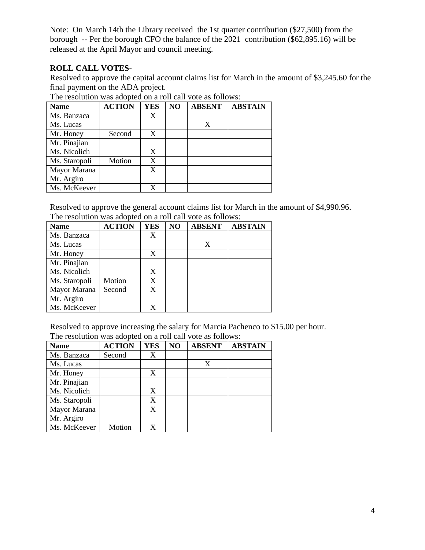Note: On March 14th the Library received the 1st quarter contribution (\$27,500) from the borough -- Per the borough CFO the balance of the 2021 contribution (\$62,895.16) will be released at the April Mayor and council meeting.

# **ROLL CALL VOTES-**

Resolved to approve the capital account claims list for March in the amount of \$3,245.60 for the final payment on the ADA project.

| <b>Name</b>   | <b>ACTION</b> | <b>YES</b> | NO | <b>ABSENT</b> | <b>ABSTAIN</b> |
|---------------|---------------|------------|----|---------------|----------------|
| Ms. Banzaca   |               | X          |    |               |                |
| Ms. Lucas     |               |            |    | X             |                |
| Mr. Honey     | Second        | X          |    |               |                |
| Mr. Pinajian  |               |            |    |               |                |
| Ms. Nicolich  |               | X          |    |               |                |
| Ms. Staropoli | Motion        | X          |    |               |                |
| Mayor Marana  |               | X          |    |               |                |
| Mr. Argiro    |               |            |    |               |                |
| Ms. McKeever  |               |            |    |               |                |

The resolution was adopted on a roll call vote as follows:

Resolved to approve the general account claims list for March in the amount of \$4,990.96. The resolution was adopted on a roll call vote as follows:

| <b>Name</b>   | <b>ACTION</b> | <b>YES</b> | NO | <b>ABSENT</b> | <b>ABSTAIN</b> |
|---------------|---------------|------------|----|---------------|----------------|
| Ms. Banzaca   |               | X          |    |               |                |
| Ms. Lucas     |               |            |    | X             |                |
| Mr. Honey     |               | X          |    |               |                |
| Mr. Pinajian  |               |            |    |               |                |
| Ms. Nicolich  |               | X          |    |               |                |
| Ms. Staropoli | Motion        | X          |    |               |                |
| Mayor Marana  | Second        | X          |    |               |                |
| Mr. Argiro    |               |            |    |               |                |
| Ms. McKeever  |               | X          |    |               |                |

Resolved to approve increasing the salary for Marcia Pachenco to \$15.00 per hour. The resolution was adopted on a roll call vote as follows:

| <b>Name</b>   | <b>ACTION</b> | <b>YES</b> | NO | <b>ABSENT</b> | <b>ABSTAIN</b> |
|---------------|---------------|------------|----|---------------|----------------|
| Ms. Banzaca   | Second        | X          |    |               |                |
| Ms. Lucas     |               |            |    | X             |                |
| Mr. Honey     |               | X          |    |               |                |
| Mr. Pinajian  |               |            |    |               |                |
| Ms. Nicolich  |               | X          |    |               |                |
| Ms. Staropoli |               | X          |    |               |                |
| Mayor Marana  |               | X          |    |               |                |
| Mr. Argiro    |               |            |    |               |                |
| Ms. McKeever  | Motion        | X          |    |               |                |